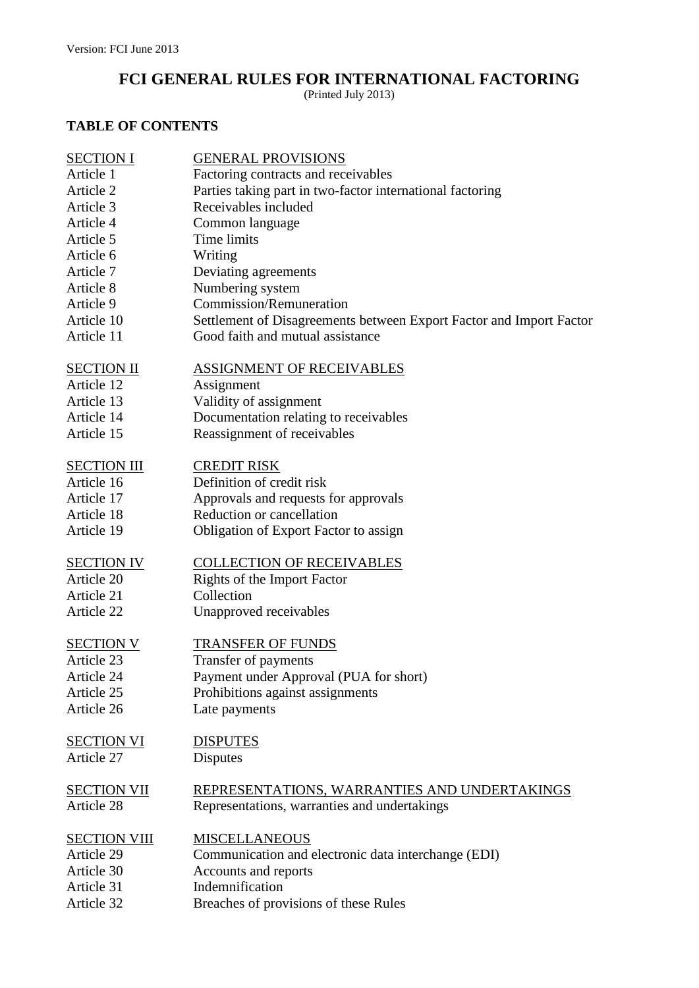# **FCI GENERAL RULES FOR INTERNATIONAL FACTORING**

(Printed July 2013)

## **TABLE OF CONTENTS**

| <b>SECTION I</b>    | <b>GENERAL PROVISIONS</b>                                           |
|---------------------|---------------------------------------------------------------------|
| Article 1           | Factoring contracts and receivables                                 |
| Article 2           | Parties taking part in two-factor international factoring           |
| Article 3           | Receivables included                                                |
| Article 4           | Common language                                                     |
| Article 5           | Time limits                                                         |
| Article 6           | Writing                                                             |
| Article 7           | Deviating agreements                                                |
| Article 8           | Numbering system                                                    |
| Article 9           | Commission/Remuneration                                             |
| Article 10          | Settlement of Disagreements between Export Factor and Import Factor |
| Article 11          | Good faith and mutual assistance                                    |
| <b>SECTION II</b>   | <b>ASSIGNMENT OF RECEIVABLES</b>                                    |
| Article 12          | Assignment                                                          |
| Article 13          | Validity of assignment                                              |
| Article 14          | Documentation relating to receivables                               |
| Article 15          | Reassignment of receivables                                         |
| <b>SECTION III</b>  | <b>CREDIT RISK</b>                                                  |
| Article 16          | Definition of credit risk                                           |
| Article 17          | Approvals and requests for approvals                                |
| Article 18          | Reduction or cancellation                                           |
| Article 19          | Obligation of Export Factor to assign                               |
| <b>SECTION IV</b>   | <b>COLLECTION OF RECEIVABLES</b>                                    |
| Article 20          | Rights of the Import Factor                                         |
| Article 21          | Collection                                                          |
| Article 22          | Unapproved receivables                                              |
| <b>SECTION V</b>    | <b>TRANSFER OF FUNDS</b>                                            |
| Article 23          | Transfer of payments                                                |
| Article 24          | Payment under Approval (PUA for short)                              |
| Article 25          | Prohibitions against assignments                                    |
| Article 26          | Late payments                                                       |
| <b>SECTION VI</b>   | <b>DISPUTES</b>                                                     |
| Article 27          | <b>Disputes</b>                                                     |
| <b>SECTION VII</b>  | REPRESENTATIONS, WARRANTIES AND UNDERTAKINGS                        |
| Article 28          | Representations, warranties and undertakings                        |
| <b>SECTION VIII</b> | <b>MISCELLANEOUS</b>                                                |
| Article 29          | Communication and electronic data interchange (EDI)                 |
| Article 30          | Accounts and reports                                                |
| Article 31          | Indemnification                                                     |
| Article 32          | Breaches of provisions of these Rules                               |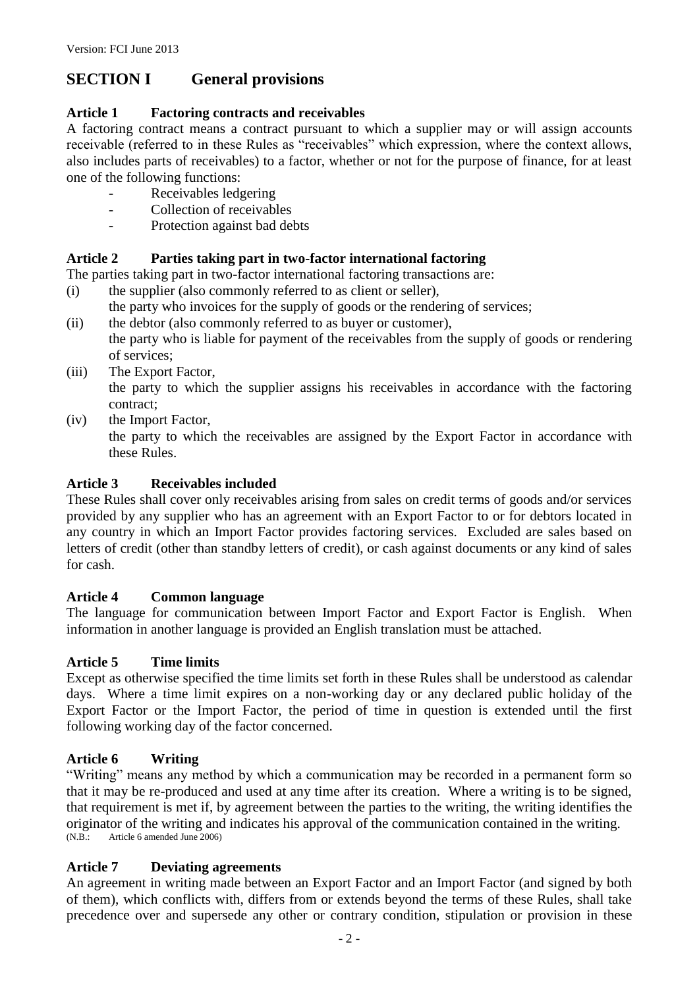# **SECTION I General provisions**

### **Article 1 Factoring contracts and receivables**

A factoring contract means a contract pursuant to which a supplier may or will assign accounts receivable (referred to in these Rules as "receivables" which expression, where the context allows, also includes parts of receivables) to a factor, whether or not for the purpose of finance, for at least one of the following functions:

- Receivables ledgering
- Collection of receivables
- Protection against bad debts

### **Article 2 Parties taking part in two-factor international factoring**

The parties taking part in two-factor international factoring transactions are:

- (i) the supplier (also commonly referred to as client or seller),
- the party who invoices for the supply of goods or the rendering of services;
- (ii) the debtor (also commonly referred to as buyer or customer), the party who is liable for payment of the receivables from the supply of goods or rendering of services;
- (iii) The Export Factor,

the party to which the supplier assigns his receivables in accordance with the factoring contract;

(iv) the Import Factor,

the party to which the receivables are assigned by the Export Factor in accordance with these Rules.

### **Article 3 Receivables included**

These Rules shall cover only receivables arising from sales on credit terms of goods and/or services provided by any supplier who has an agreement with an Export Factor to or for debtors located in any country in which an Import Factor provides factoring services. Excluded are sales based on letters of credit (other than standby letters of credit), or cash against documents or any kind of sales for cash.

#### **Article 4 Common language**

The language for communication between Import Factor and Export Factor is English. When information in another language is provided an English translation must be attached.

#### **Article 5 Time limits**

Except as otherwise specified the time limits set forth in these Rules shall be understood as calendar days. Where a time limit expires on a non-working day or any declared public holiday of the Export Factor or the Import Factor, the period of time in question is extended until the first following working day of the factor concerned.

#### **Article 6 Writing**

"Writing" means any method by which a communication may be recorded in a permanent form so that it may be re-produced and used at any time after its creation. Where a writing is to be signed, that requirement is met if, by agreement between the parties to the writing, the writing identifies the originator of the writing and indicates his approval of the communication contained in the writing. (N.B.: Article 6 amended June 2006)

#### **Article 7 Deviating agreements**

An agreement in writing made between an Export Factor and an Import Factor (and signed by both of them), which conflicts with, differs from or extends beyond the terms of these Rules, shall take precedence over and supersede any other or contrary condition, stipulation or provision in these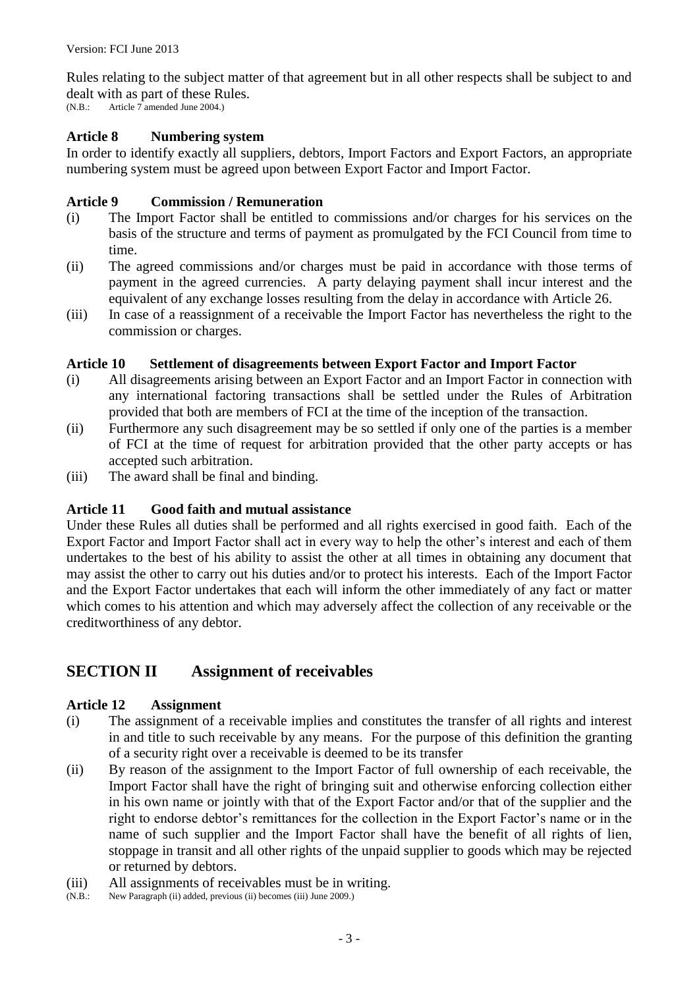Rules relating to the subject matter of that agreement but in all other respects shall be subject to and dealt with as part of these Rules.

(N.B.: Article 7 amended June 2004.)

#### **Article 8 Numbering system**

In order to identify exactly all suppliers, debtors, Import Factors and Export Factors, an appropriate numbering system must be agreed upon between Export Factor and Import Factor.

#### **Article 9 Commission / Remuneration**

- (i) The Import Factor shall be entitled to commissions and/or charges for his services on the basis of the structure and terms of payment as promulgated by the FCI Council from time to time.
- (ii) The agreed commissions and/or charges must be paid in accordance with those terms of payment in the agreed currencies. A party delaying payment shall incur interest and the equivalent of any exchange losses resulting from the delay in accordance with Article 26.
- (iii) In case of a reassignment of a receivable the Import Factor has nevertheless the right to the commission or charges.

#### **Article 10 Settlement of disagreements between Export Factor and Import Factor**

- (i) All disagreements arising between an Export Factor and an Import Factor in connection with any international factoring transactions shall be settled under the Rules of Arbitration provided that both are members of FCI at the time of the inception of the transaction.
- (ii) Furthermore any such disagreement may be so settled if only one of the parties is a member of FCI at the time of request for arbitration provided that the other party accepts or has accepted such arbitration.
- (iii) The award shall be final and binding.

#### **Article 11 Good faith and mutual assistance**

Under these Rules all duties shall be performed and all rights exercised in good faith. Each of the Export Factor and Import Factor shall act in every way to help the other's interest and each of them undertakes to the best of his ability to assist the other at all times in obtaining any document that may assist the other to carry out his duties and/or to protect his interests. Each of the Import Factor and the Export Factor undertakes that each will inform the other immediately of any fact or matter which comes to his attention and which may adversely affect the collection of any receivable or the creditworthiness of any debtor.

# **SECTION II Assignment of receivables**

#### **Article 12 Assignment**

- (i) The assignment of a receivable implies and constitutes the transfer of all rights and interest in and title to such receivable by any means. For the purpose of this definition the granting of a security right over a receivable is deemed to be its transfer
- (ii) By reason of the assignment to the Import Factor of full ownership of each receivable, the Import Factor shall have the right of bringing suit and otherwise enforcing collection either in his own name or jointly with that of the Export Factor and/or that of the supplier and the right to endorse debtor's remittances for the collection in the Export Factor's name or in the name of such supplier and the Import Factor shall have the benefit of all rights of lien, stoppage in transit and all other rights of the unpaid supplier to goods which may be rejected or returned by debtors.
- (iii) All assignments of receivables must be in writing.<br>(N.B.: New Paragraph (ii) added, previous (ii) becomes (iii) June 2009.)
- New Paragraph (ii) added, previous (ii) becomes (iii) June 2009.)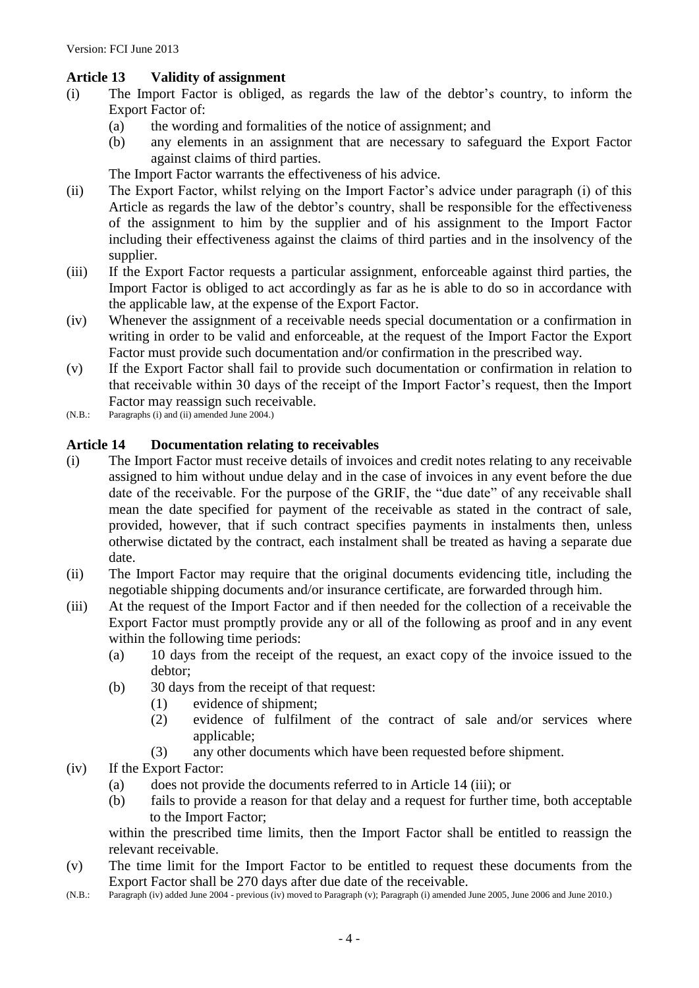### **Article 13 Validity of assignment**

- (i) The Import Factor is obliged, as regards the law of the debtor's country, to inform the Export Factor of:
	- (a) the wording and formalities of the notice of assignment; and
	- (b) any elements in an assignment that are necessary to safeguard the Export Factor against claims of third parties.

The Import Factor warrants the effectiveness of his advice.

- (ii) The Export Factor, whilst relying on the Import Factor's advice under paragraph (i) of this Article as regards the law of the debtor's country, shall be responsible for the effectiveness of the assignment to him by the supplier and of his assignment to the Import Factor including their effectiveness against the claims of third parties and in the insolvency of the supplier.
- (iii) If the Export Factor requests a particular assignment, enforceable against third parties, the Import Factor is obliged to act accordingly as far as he is able to do so in accordance with the applicable law, at the expense of the Export Factor.
- (iv) Whenever the assignment of a receivable needs special documentation or a confirmation in writing in order to be valid and enforceable, at the request of the Import Factor the Export Factor must provide such documentation and/or confirmation in the prescribed way.
- (v) If the Export Factor shall fail to provide such documentation or confirmation in relation to that receivable within 30 days of the receipt of the Import Factor's request, then the Import Factor may reassign such receivable.
- (N.B.: Paragraphs (i) and (ii) amended June 2004.)

#### **Article 14 Documentation relating to receivables**

- (i) The Import Factor must receive details of invoices and credit notes relating to any receivable assigned to him without undue delay and in the case of invoices in any event before the due date of the receivable. For the purpose of the GRIF, the "due date" of any receivable shall mean the date specified for payment of the receivable as stated in the contract of sale, provided, however, that if such contract specifies payments in instalments then, unless otherwise dictated by the contract, each instalment shall be treated as having a separate due date.
- (ii) The Import Factor may require that the original documents evidencing title, including the negotiable shipping documents and/or insurance certificate, are forwarded through him.
- (iii) At the request of the Import Factor and if then needed for the collection of a receivable the Export Factor must promptly provide any or all of the following as proof and in any event within the following time periods:
	- (a) 10 days from the receipt of the request, an exact copy of the invoice issued to the debtor;
	- (b) 30 days from the receipt of that request:
		- (1) evidence of shipment;
		- (2) evidence of fulfilment of the contract of sale and/or services where applicable;
		- (3) any other documents which have been requested before shipment.
- (iv) If the Export Factor:
	- (a) does not provide the documents referred to in Article 14 (iii); or
	- (b) fails to provide a reason for that delay and a request for further time, both acceptable to the Import Factor;

within the prescribed time limits, then the Import Factor shall be entitled to reassign the relevant receivable.

- (v) The time limit for the Import Factor to be entitled to request these documents from the Export Factor shall be 270 days after due date of the receivable.
- (N.B.: Paragraph (iv) added June 2004 previous (iv) moved to Paragraph (v); Paragraph (i) amended June 2005, June 2006 and June 2010.)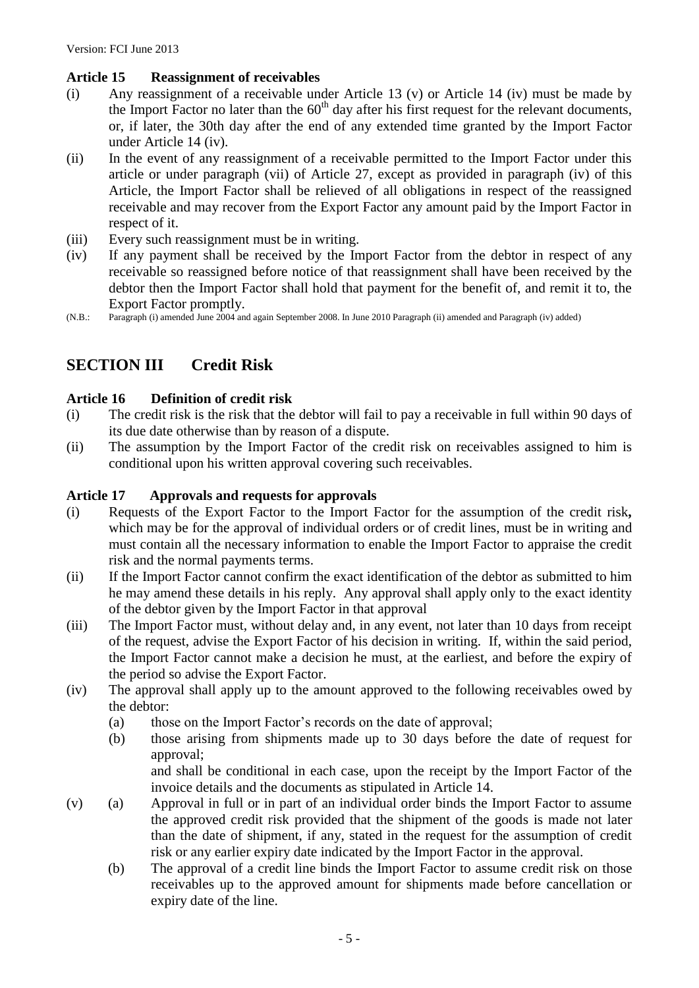### **Article 15 Reassignment of receivables**

- (i) Any reassignment of a receivable under Article 13 (v) or Article 14 (iv) must be made by the Import Factor no later than the  $60<sup>th</sup>$  day after his first request for the relevant documents, or, if later, the 30th day after the end of any extended time granted by the Import Factor under Article 14 (iv).
- (ii) In the event of any reassignment of a receivable permitted to the Import Factor under this article or under paragraph (vii) of Article 27, except as provided in paragraph (iv) of this Article, the Import Factor shall be relieved of all obligations in respect of the reassigned receivable and may recover from the Export Factor any amount paid by the Import Factor in respect of it.
- (iii) Every such reassignment must be in writing.
- (iv) If any payment shall be received by the Import Factor from the debtor in respect of any receivable so reassigned before notice of that reassignment shall have been received by the debtor then the Import Factor shall hold that payment for the benefit of, and remit it to, the Export Factor promptly.
- (N.B.: Paragraph (i) amended June 2004 and again September 2008. In June 2010 Paragraph (ii) amended and Paragraph (iv) added)

# **SECTION III Credit Risk**

#### **Article 16 Definition of credit risk**

- (i) The credit risk is the risk that the debtor will fail to pay a receivable in full within 90 days of its due date otherwise than by reason of a dispute.
- (ii) The assumption by the Import Factor of the credit risk on receivables assigned to him is conditional upon his written approval covering such receivables.

#### **Article 17 Approvals and requests for approvals**

- (i) Requests of the Export Factor to the Import Factor for the assumption of the credit risk*,*  which may be for the approval of individual orders or of credit lines, must be in writing and must contain all the necessary information to enable the Import Factor to appraise the credit risk and the normal payments terms.
- (ii) If the Import Factor cannot confirm the exact identification of the debtor as submitted to him he may amend these details in his reply. Any approval shall apply only to the exact identity of the debtor given by the Import Factor in that approval
- (iii) The Import Factor must, without delay and, in any event, not later than 10 days from receipt of the request, advise the Export Factor of his decision in writing. If, within the said period, the Import Factor cannot make a decision he must, at the earliest, and before the expiry of the period so advise the Export Factor.
- (iv) The approval shall apply up to the amount approved to the following receivables owed by the debtor:
	- (a) those on the Import Factor's records on the date of approval;
	- (b) those arising from shipments made up to 30 days before the date of request for approval;

and shall be conditional in each case, upon the receipt by the Import Factor of the invoice details and the documents as stipulated in Article 14.

- (v) (a) Approval in full or in part of an individual order binds the Import Factor to assume the approved credit risk provided that the shipment of the goods is made not later than the date of shipment, if any, stated in the request for the assumption of credit risk or any earlier expiry date indicated by the Import Factor in the approval.
	- (b) The approval of a credit line binds the Import Factor to assume credit risk on those receivables up to the approved amount for shipments made before cancellation or expiry date of the line.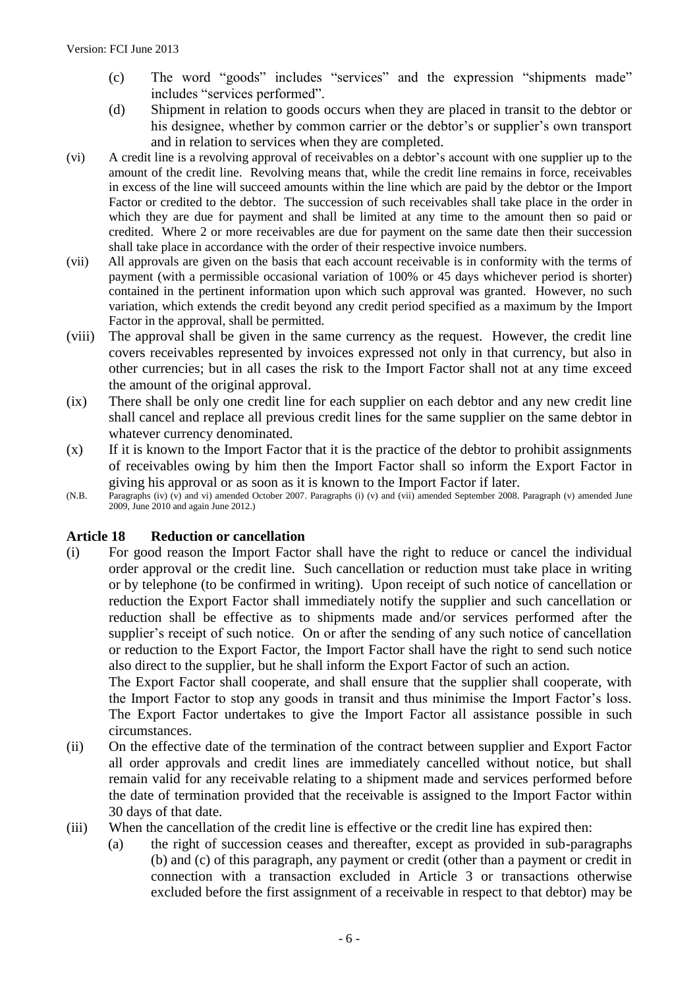- (c) The word "goods" includes "services" and the expression "shipments made" includes "services performed".
- (d) Shipment in relation to goods occurs when they are placed in transit to the debtor or his designee, whether by common carrier or the debtor's or supplier's own transport and in relation to services when they are completed.
- (vi) A credit line is a revolving approval of receivables on a debtor's account with one supplier up to the amount of the credit line. Revolving means that, while the credit line remains in force, receivables in excess of the line will succeed amounts within the line which are paid by the debtor or the Import Factor or credited to the debtor. The succession of such receivables shall take place in the order in which they are due for payment and shall be limited at any time to the amount then so paid or credited. Where 2 or more receivables are due for payment on the same date then their succession shall take place in accordance with the order of their respective invoice numbers.
- (vii) All approvals are given on the basis that each account receivable is in conformity with the terms of payment (with a permissible occasional variation of 100% or 45 days whichever period is shorter) contained in the pertinent information upon which such approval was granted. However, no such variation, which extends the credit beyond any credit period specified as a maximum by the Import Factor in the approval, shall be permitted.
- (viii) The approval shall be given in the same currency as the request. However, the credit line covers receivables represented by invoices expressed not only in that currency, but also in other currencies; but in all cases the risk to the Import Factor shall not at any time exceed the amount of the original approval.
- (ix) There shall be only one credit line for each supplier on each debtor and any new credit line shall cancel and replace all previous credit lines for the same supplier on the same debtor in whatever currency denominated.
- $(x)$  If it is known to the Import Factor that it is the practice of the debtor to prohibit assignments of receivables owing by him then the Import Factor shall so inform the Export Factor in giving his approval or as soon as it is known to the Import Factor if later.
- (N.B. Paragraphs (iv) (v) and vi) amended October 2007. Paragraphs (i) (v) and (vii) amended September 2008. Paragraph (v) amended June 2009, June 2010 and again June 2012.)

#### **Article 18 Reduction or cancellation**

(i) For good reason the Import Factor shall have the right to reduce or cancel the individual order approval or the credit line. Such cancellation or reduction must take place in writing or by telephone (to be confirmed in writing). Upon receipt of such notice of cancellation or reduction the Export Factor shall immediately notify the supplier and such cancellation or reduction shall be effective as to shipments made and/or services performed after the supplier's receipt of such notice. On or after the sending of any such notice of cancellation or reduction to the Export Factor, the Import Factor shall have the right to send such notice also direct to the supplier, but he shall inform the Export Factor of such an action.

The Export Factor shall cooperate, and shall ensure that the supplier shall cooperate, with the Import Factor to stop any goods in transit and thus minimise the Import Factor's loss. The Export Factor undertakes to give the Import Factor all assistance possible in such circumstances.

- (ii) On the effective date of the termination of the contract between supplier and Export Factor all order approvals and credit lines are immediately cancelled without notice, but shall remain valid for any receivable relating to a shipment made and services performed before the date of termination provided that the receivable is assigned to the Import Factor within 30 days of that date.
- (iii) When the cancellation of the credit line is effective or the credit line has expired then:
	- (a) the right of succession ceases and thereafter, except as provided in sub-paragraphs (b) and (c) of this paragraph, any payment or credit (other than a payment or credit in connection with a transaction excluded in Article 3 or transactions otherwise excluded before the first assignment of a receivable in respect to that debtor) may be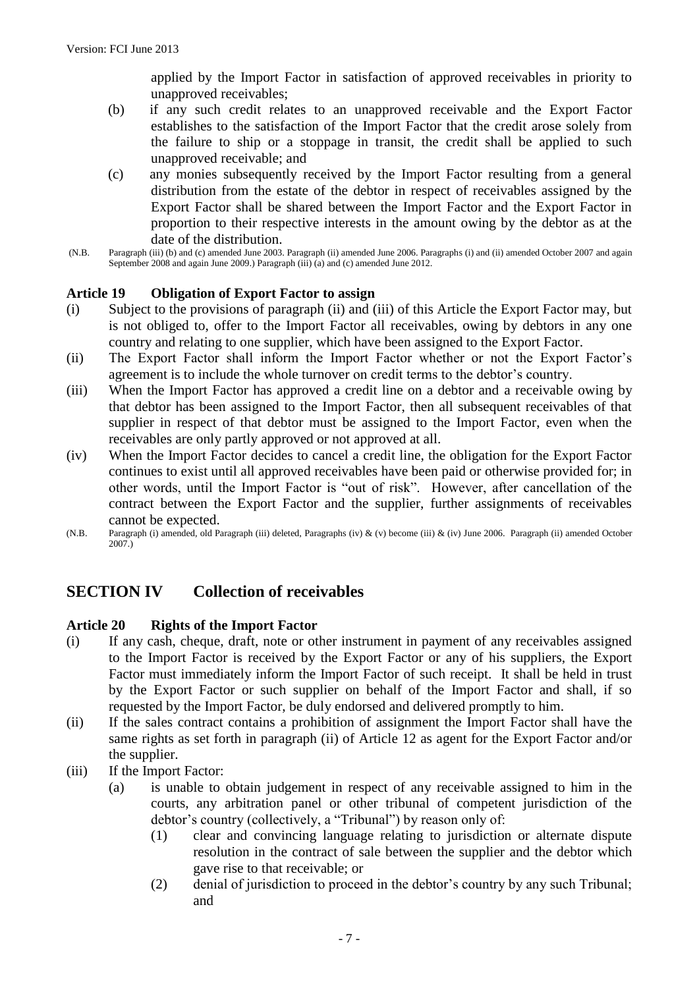applied by the Import Factor in satisfaction of approved receivables in priority to unapproved receivables;

- (b) if any such credit relates to an unapproved receivable and the Export Factor establishes to the satisfaction of the Import Factor that the credit arose solely from the failure to ship or a stoppage in transit, the credit shall be applied to such unapproved receivable; and
- (c) any monies subsequently received by the Import Factor resulting from a general distribution from the estate of the debtor in respect of receivables assigned by the Export Factor shall be shared between the Import Factor and the Export Factor in proportion to their respective interests in the amount owing by the debtor as at the date of the distribution.
- (N.B. Paragraph (iii) (b) and (c) amended June 2003. Paragraph (ii) amended June 2006. Paragraphs (i) and (ii) amended October 2007 and again September 2008 and again June 2009.) Paragraph (iii) (a) and (c) amended June 2012.

#### **Article 19 Obligation of Export Factor to assign**

- (i) Subject to the provisions of paragraph (ii) and (iii) of this Article the Export Factor may, but is not obliged to, offer to the Import Factor all receivables, owing by debtors in any one country and relating to one supplier, which have been assigned to the Export Factor.
- (ii) The Export Factor shall inform the Import Factor whether or not the Export Factor's agreement is to include the whole turnover on credit terms to the debtor's country.
- (iii) When the Import Factor has approved a credit line on a debtor and a receivable owing by that debtor has been assigned to the Import Factor, then all subsequent receivables of that supplier in respect of that debtor must be assigned to the Import Factor, even when the receivables are only partly approved or not approved at all.
- (iv) When the Import Factor decides to cancel a credit line, the obligation for the Export Factor continues to exist until all approved receivables have been paid or otherwise provided for; in other words, until the Import Factor is "out of risk". However, after cancellation of the contract between the Export Factor and the supplier, further assignments of receivables cannot be expected.
- (N.B. Paragraph (i) amended, old Paragraph (iii) deleted, Paragraphs (iv) & (v) become (iii) & (iv) June 2006. Paragraph (ii) amended October 2007.)

# **SECTION IV Collection of receivables**

#### **Article 20 Rights of the Import Factor**

- (i) If any cash, cheque, draft, note or other instrument in payment of any receivables assigned to the Import Factor is received by the Export Factor or any of his suppliers, the Export Factor must immediately inform the Import Factor of such receipt. It shall be held in trust by the Export Factor or such supplier on behalf of the Import Factor and shall, if so requested by the Import Factor, be duly endorsed and delivered promptly to him.
- (ii) If the sales contract contains a prohibition of assignment the Import Factor shall have the same rights as set forth in paragraph (ii) of Article 12 as agent for the Export Factor and/or the supplier.
- (iii) If the Import Factor:
	- (a) is unable to obtain judgement in respect of any receivable assigned to him in the courts, any arbitration panel or other tribunal of competent jurisdiction of the debtor's country (collectively, a "Tribunal") by reason only of:
		- (1) clear and convincing language relating to jurisdiction or alternate dispute resolution in the contract of sale between the supplier and the debtor which gave rise to that receivable; or
		- (2) denial of jurisdiction to proceed in the debtor's country by any such Tribunal; and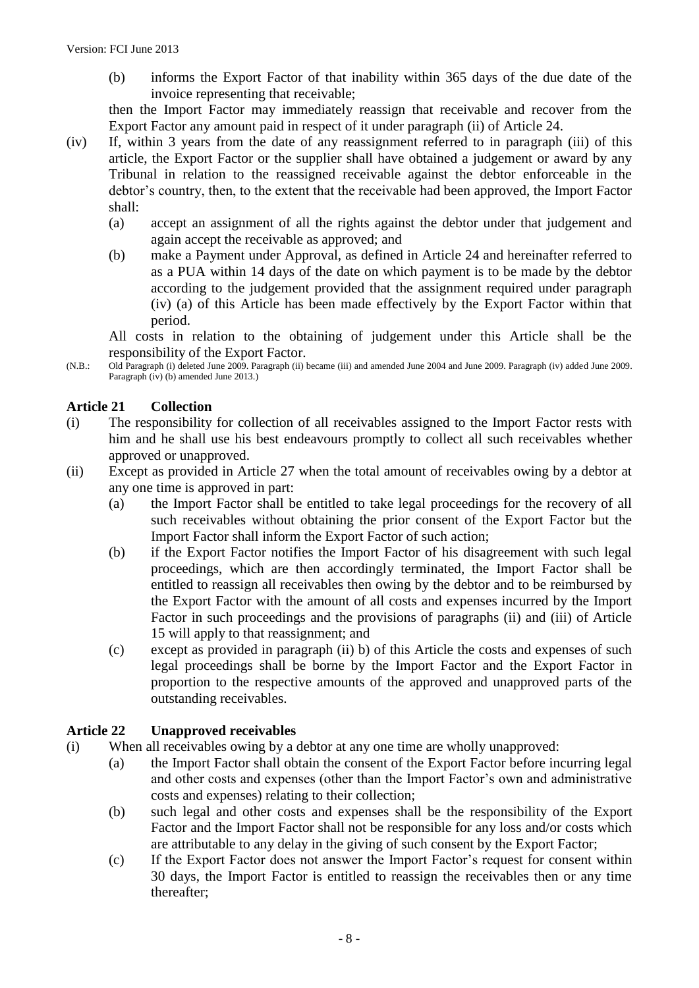(b) informs the Export Factor of that inability within 365 days of the due date of the invoice representing that receivable;

then the Import Factor may immediately reassign that receivable and recover from the Export Factor any amount paid in respect of it under paragraph (ii) of Article 24.

- (iv) If, within 3 years from the date of any reassignment referred to in paragraph (iii) of this article, the Export Factor or the supplier shall have obtained a judgement or award by any Tribunal in relation to the reassigned receivable against the debtor enforceable in the debtor's country, then, to the extent that the receivable had been approved, the Import Factor shall:
	- (a) accept an assignment of all the rights against the debtor under that judgement and again accept the receivable as approved; and
	- (b) make a Payment under Approval, as defined in Article 24 and hereinafter referred to as a PUA within 14 days of the date on which payment is to be made by the debtor according to the judgement provided that the assignment required under paragraph (iv) (a) of this Article has been made effectively by the Export Factor within that period.

All costs in relation to the obtaining of judgement under this Article shall be the responsibility of the Export Factor.

(N.B.: Old Paragraph (i) deleted June 2009. Paragraph (ii) became (iii) and amended June 2004 and June 2009. Paragraph (iv) added June 2009. Paragraph (iv) (b) amended June 2013.)

#### **Article 21 Collection**

- (i) The responsibility for collection of all receivables assigned to the Import Factor rests with him and he shall use his best endeavours promptly to collect all such receivables whether approved or unapproved.
- (ii) Except as provided in Article 27 when the total amount of receivables owing by a debtor at any one time is approved in part:
	- (a) the Import Factor shall be entitled to take legal proceedings for the recovery of all such receivables without obtaining the prior consent of the Export Factor but the Import Factor shall inform the Export Factor of such action;
	- (b) if the Export Factor notifies the Import Factor of his disagreement with such legal proceedings, which are then accordingly terminated, the Import Factor shall be entitled to reassign all receivables then owing by the debtor and to be reimbursed by the Export Factor with the amount of all costs and expenses incurred by the Import Factor in such proceedings and the provisions of paragraphs (ii) and (iii) of Article 15 will apply to that reassignment; and
	- (c) except as provided in paragraph (ii) b) of this Article the costs and expenses of such legal proceedings shall be borne by the Import Factor and the Export Factor in proportion to the respective amounts of the approved and unapproved parts of the outstanding receivables.

#### **Article 22 Unapproved receivables**

- (i) When all receivables owing by a debtor at any one time are wholly unapproved:
	- (a) the Import Factor shall obtain the consent of the Export Factor before incurring legal and other costs and expenses (other than the Import Factor's own and administrative costs and expenses) relating to their collection;
	- (b) such legal and other costs and expenses shall be the responsibility of the Export Factor and the Import Factor shall not be responsible for any loss and/or costs which are attributable to any delay in the giving of such consent by the Export Factor;
	- (c) If the Export Factor does not answer the Import Factor's request for consent within 30 days, the Import Factor is entitled to reassign the receivables then or any time thereafter;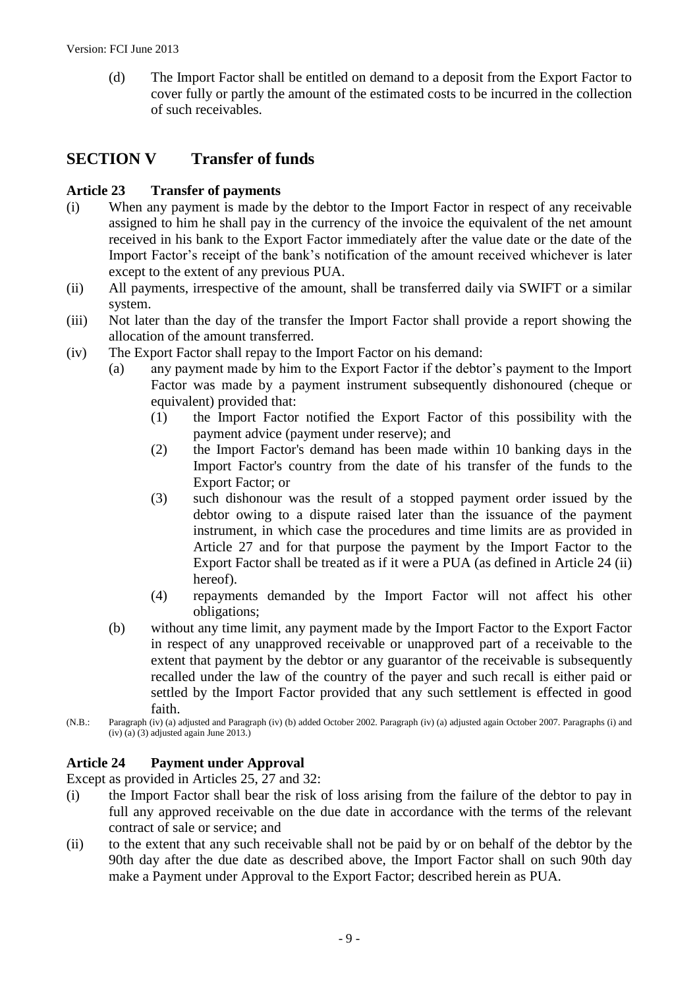(d) The Import Factor shall be entitled on demand to a deposit from the Export Factor to cover fully or partly the amount of the estimated costs to be incurred in the collection of such receivables.

# **SECTION V Transfer of funds**

#### **Article 23 Transfer of payments**

- (i) When any payment is made by the debtor to the Import Factor in respect of any receivable assigned to him he shall pay in the currency of the invoice the equivalent of the net amount received in his bank to the Export Factor immediately after the value date or the date of the Import Factor's receipt of the bank's notification of the amount received whichever is later except to the extent of any previous PUA.
- (ii) All payments, irrespective of the amount, shall be transferred daily via SWIFT or a similar system.
- (iii) Not later than the day of the transfer the Import Factor shall provide a report showing the allocation of the amount transferred.
- (iv) The Export Factor shall repay to the Import Factor on his demand:
	- (a) any payment made by him to the Export Factor if the debtor's payment to the Import Factor was made by a payment instrument subsequently dishonoured (cheque or equivalent) provided that:
		- (1) the Import Factor notified the Export Factor of this possibility with the payment advice (payment under reserve); and
		- (2) the Import Factor's demand has been made within 10 banking days in the Import Factor's country from the date of his transfer of the funds to the Export Factor; or
		- (3) such dishonour was the result of a stopped payment order issued by the debtor owing to a dispute raised later than the issuance of the payment instrument, in which case the procedures and time limits are as provided in Article 27 and for that purpose the payment by the Import Factor to the Export Factor shall be treated as if it were a PUA (as defined in Article 24 (ii) hereof).
		- (4) repayments demanded by the Import Factor will not affect his other obligations;
	- (b) without any time limit, any payment made by the Import Factor to the Export Factor in respect of any unapproved receivable or unapproved part of a receivable to the extent that payment by the debtor or any guarantor of the receivable is subsequently recalled under the law of the country of the payer and such recall is either paid or settled by the Import Factor provided that any such settlement is effected in good faith.
- (N.B.: Paragraph (iv) (a) adjusted and Paragraph (iv) (b) added October 2002. Paragraph (iv) (a) adjusted again October 2007. Paragraphs (i) and (iv) (a) (3) adjusted again June 2013.)

#### **Article 24 Payment under Approval**

Except as provided in Articles 25, 27 and 32:

- (i) the Import Factor shall bear the risk of loss arising from the failure of the debtor to pay in full any approved receivable on the due date in accordance with the terms of the relevant contract of sale or service; and
- (ii) to the extent that any such receivable shall not be paid by or on behalf of the debtor by the 90th day after the due date as described above, the Import Factor shall on such 90th day make a Payment under Approval to the Export Factor; described herein as PUA.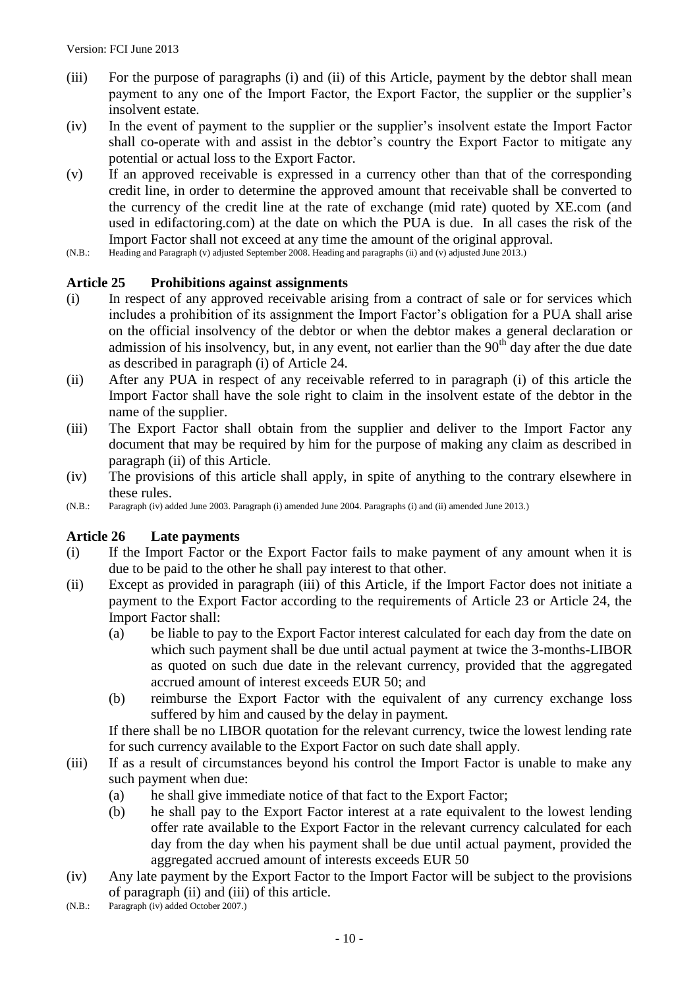- (iii) For the purpose of paragraphs (i) and (ii) of this Article, payment by the debtor shall mean payment to any one of the Import Factor, the Export Factor, the supplier or the supplier's insolvent estate.
- (iv) In the event of payment to the supplier or the supplier's insolvent estate the Import Factor shall co-operate with and assist in the debtor's country the Export Factor to mitigate any potential or actual loss to the Export Factor.
- (v) If an approved receivable is expressed in a currency other than that of the corresponding credit line, in order to determine the approved amount that receivable shall be converted to the currency of the credit line at the rate of exchange (mid rate) quoted by XE.com (and used in edifactoring.com) at the date on which the PUA is due. In all cases the risk of the Import Factor shall not exceed at any time the amount of the original approval.
- (N.B.: Heading and Paragraph (v) adjusted September 2008. Heading and paragraphs (ii) and (v) adjusted June 2013.)

#### **Article 25 Prohibitions against assignments**

- (i) In respect of any approved receivable arising from a contract of sale or for services which includes a prohibition of its assignment the Import Factor's obligation for a PUA shall arise on the official insolvency of the debtor or when the debtor makes a general declaration or admission of his insolvency, but, in any event, not earlier than the  $90<sup>th</sup>$  day after the due date as described in paragraph (i) of Article 24.
- (ii) After any PUA in respect of any receivable referred to in paragraph (i) of this article the Import Factor shall have the sole right to claim in the insolvent estate of the debtor in the name of the supplier.
- (iii) The Export Factor shall obtain from the supplier and deliver to the Import Factor any document that may be required by him for the purpose of making any claim as described in paragraph (ii) of this Article.
- (iv) The provisions of this article shall apply, in spite of anything to the contrary elsewhere in these rules.
- (N.B.: Paragraph (iv) added June 2003. Paragraph (i) amended June 2004. Paragraphs (i) and (ii) amended June 2013.)

#### **Article 26 Late payments**

- (i) If the Import Factor or the Export Factor fails to make payment of any amount when it is due to be paid to the other he shall pay interest to that other.
- (ii) Except as provided in paragraph (iii) of this Article, if the Import Factor does not initiate a payment to the Export Factor according to the requirements of Article 23 or Article 24, the Import Factor shall:
	- (a) be liable to pay to the Export Factor interest calculated for each day from the date on which such payment shall be due until actual payment at twice the 3-months-LIBOR as quoted on such due date in the relevant currency, provided that the aggregated accrued amount of interest exceeds EUR 50; and
	- (b) reimburse the Export Factor with the equivalent of any currency exchange loss suffered by him and caused by the delay in payment.

If there shall be no LIBOR quotation for the relevant currency, twice the lowest lending rate for such currency available to the Export Factor on such date shall apply.

- (iii) If as a result of circumstances beyond his control the Import Factor is unable to make any such payment when due:
	- (a) he shall give immediate notice of that fact to the Export Factor;
	- (b) he shall pay to the Export Factor interest at a rate equivalent to the lowest lending offer rate available to the Export Factor in the relevant currency calculated for each day from the day when his payment shall be due until actual payment, provided the aggregated accrued amount of interests exceeds EUR 50
- (iv) Any late payment by the Export Factor to the Import Factor will be subject to the provisions of paragraph (ii) and (iii) of this article.
- (N.B.: Paragraph (iv) added October 2007.)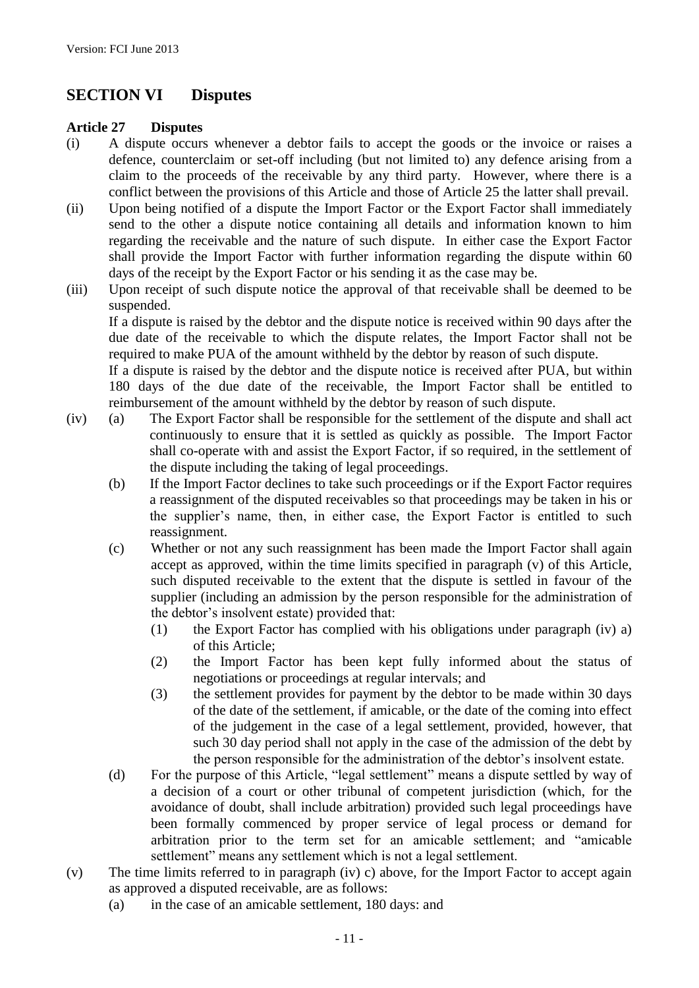# **SECTION VI Disputes**

#### **Article 27 Disputes**

- (i) A dispute occurs whenever a debtor fails to accept the goods or the invoice or raises a defence, counterclaim or set-off including (but not limited to) any defence arising from a claim to the proceeds of the receivable by any third party. However, where there is a conflict between the provisions of this Article and those of Article 25 the latter shall prevail.
- (ii) Upon being notified of a dispute the Import Factor or the Export Factor shall immediately send to the other a dispute notice containing all details and information known to him regarding the receivable and the nature of such dispute. In either case the Export Factor shall provide the Import Factor with further information regarding the dispute within 60 days of the receipt by the Export Factor or his sending it as the case may be.
- (iii) Upon receipt of such dispute notice the approval of that receivable shall be deemed to be suspended.

If a dispute is raised by the debtor and the dispute notice is received within 90 days after the due date of the receivable to which the dispute relates, the Import Factor shall not be required to make PUA of the amount withheld by the debtor by reason of such dispute.

If a dispute is raised by the debtor and the dispute notice is received after PUA, but within 180 days of the due date of the receivable, the Import Factor shall be entitled to reimbursement of the amount withheld by the debtor by reason of such dispute.

- (iv) (a) The Export Factor shall be responsible for the settlement of the dispute and shall act continuously to ensure that it is settled as quickly as possible. The Import Factor shall co-operate with and assist the Export Factor, if so required, in the settlement of the dispute including the taking of legal proceedings.
	- (b) If the Import Factor declines to take such proceedings or if the Export Factor requires a reassignment of the disputed receivables so that proceedings may be taken in his or the supplier's name, then, in either case, the Export Factor is entitled to such reassignment.
	- (c) Whether or not any such reassignment has been made the Import Factor shall again accept as approved, within the time limits specified in paragraph (v) of this Article, such disputed receivable to the extent that the dispute is settled in favour of the supplier (including an admission by the person responsible for the administration of the debtor's insolvent estate) provided that:
		- (1) the Export Factor has complied with his obligations under paragraph (iv) a) of this Article;
		- (2) the Import Factor has been kept fully informed about the status of negotiations or proceedings at regular intervals; and
		- (3) the settlement provides for payment by the debtor to be made within 30 days of the date of the settlement, if amicable, or the date of the coming into effect of the judgement in the case of a legal settlement, provided, however, that such 30 day period shall not apply in the case of the admission of the debt by the person responsible for the administration of the debtor's insolvent estate.
	- (d) For the purpose of this Article, "legal settlement" means a dispute settled by way of a decision of a court or other tribunal of competent jurisdiction (which, for the avoidance of doubt, shall include arbitration) provided such legal proceedings have been formally commenced by proper service of legal process or demand for arbitration prior to the term set for an amicable settlement; and "amicable settlement" means any settlement which is not a legal settlement.
- (v) The time limits referred to in paragraph (iv) c) above, for the Import Factor to accept again as approved a disputed receivable, are as follows:
	- (a) in the case of an amicable settlement, 180 days: and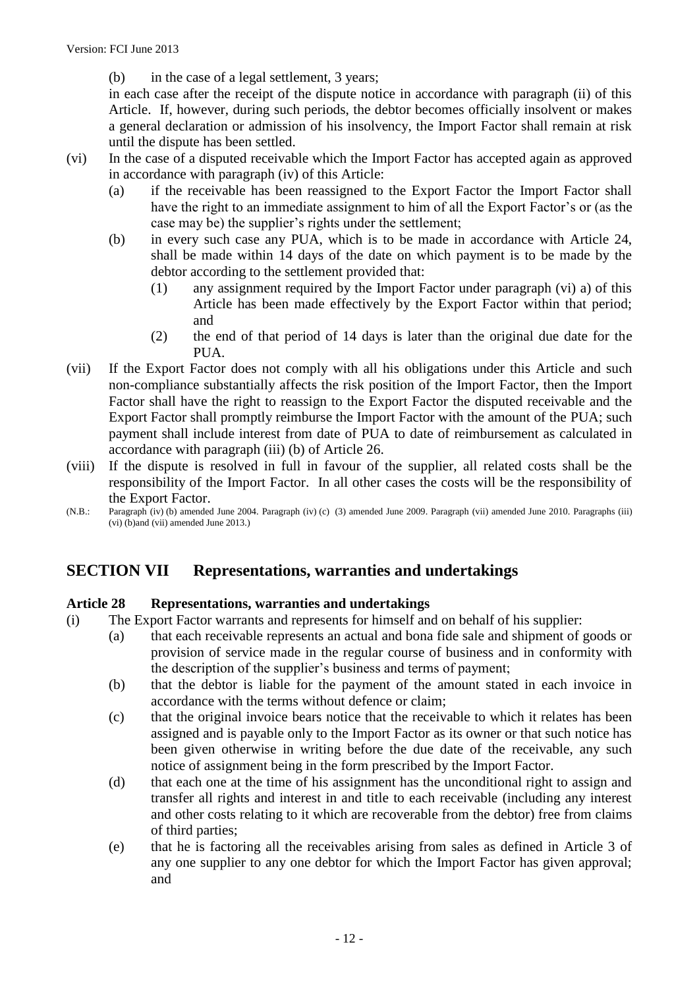(b) in the case of a legal settlement, 3 years;

in each case after the receipt of the dispute notice in accordance with paragraph (ii) of this Article. If, however, during such periods, the debtor becomes officially insolvent or makes a general declaration or admission of his insolvency, the Import Factor shall remain at risk until the dispute has been settled.

- (vi) In the case of a disputed receivable which the Import Factor has accepted again as approved in accordance with paragraph (iv) of this Article:
	- (a) if the receivable has been reassigned to the Export Factor the Import Factor shall have the right to an immediate assignment to him of all the Export Factor's or (as the case may be) the supplier's rights under the settlement;
	- (b) in every such case any PUA, which is to be made in accordance with Article 24, shall be made within 14 days of the date on which payment is to be made by the debtor according to the settlement provided that:
		- (1) any assignment required by the Import Factor under paragraph (vi) a) of this Article has been made effectively by the Export Factor within that period; and
		- (2) the end of that period of 14 days is later than the original due date for the PUA.
- (vii) If the Export Factor does not comply with all his obligations under this Article and such non-compliance substantially affects the risk position of the Import Factor, then the Import Factor shall have the right to reassign to the Export Factor the disputed receivable and the Export Factor shall promptly reimburse the Import Factor with the amount of the PUA; such payment shall include interest from date of PUA to date of reimbursement as calculated in accordance with paragraph (iii) (b) of Article 26.
- (viii) If the dispute is resolved in full in favour of the supplier, all related costs shall be the responsibility of the Import Factor. In all other cases the costs will be the responsibility of the Export Factor.
- (N.B.: Paragraph (iv) (b) amended June 2004. Paragraph (iv) (c) (3) amended June 2009. Paragraph (vii) amended June 2010. Paragraphs (iii) (vi) (b)and (vii) amended June 2013.)

# **SECTION VII Representations, warranties and undertakings**

#### **Article 28 Representations, warranties and undertakings**

- (i) The Export Factor warrants and represents for himself and on behalf of his supplier:
	- (a) that each receivable represents an actual and bona fide sale and shipment of goods or provision of service made in the regular course of business and in conformity with the description of the supplier's business and terms of payment;
	- (b) that the debtor is liable for the payment of the amount stated in each invoice in accordance with the terms without defence or claim;
	- (c) that the original invoice bears notice that the receivable to which it relates has been assigned and is payable only to the Import Factor as its owner or that such notice has been given otherwise in writing before the due date of the receivable, any such notice of assignment being in the form prescribed by the Import Factor.
	- (d) that each one at the time of his assignment has the unconditional right to assign and transfer all rights and interest in and title to each receivable (including any interest and other costs relating to it which are recoverable from the debtor) free from claims of third parties;
	- (e) that he is factoring all the receivables arising from sales as defined in Article 3 of any one supplier to any one debtor for which the Import Factor has given approval; and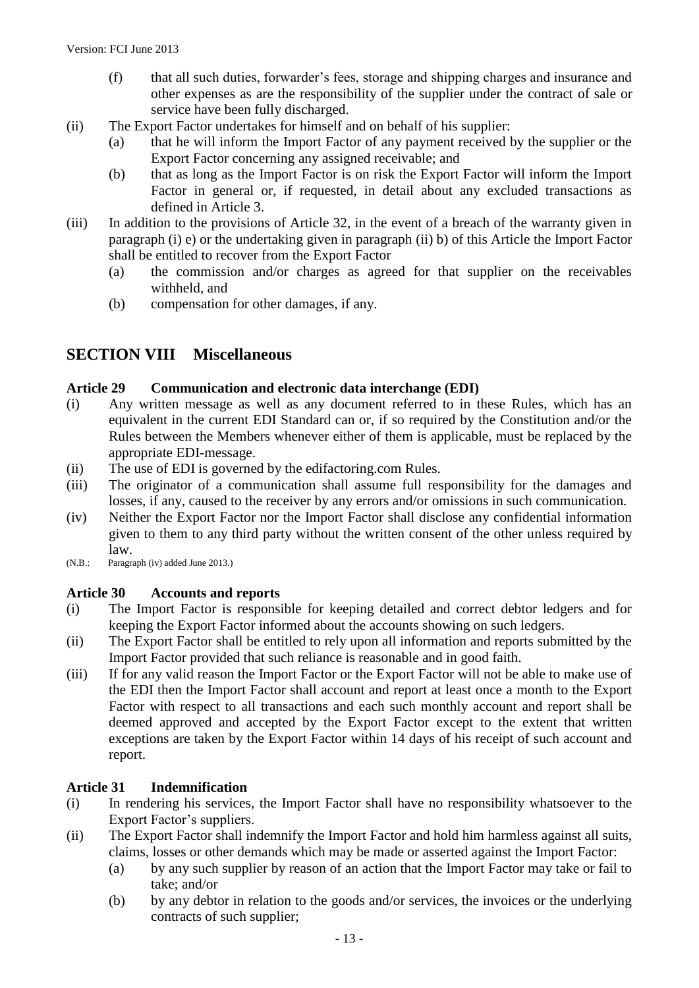- (f) that all such duties, forwarder's fees, storage and shipping charges and insurance and other expenses as are the responsibility of the supplier under the contract of sale or service have been fully discharged.
- (ii) The Export Factor undertakes for himself and on behalf of his supplier:
	- (a) that he will inform the Import Factor of any payment received by the supplier or the Export Factor concerning any assigned receivable; and
	- (b) that as long as the Import Factor is on risk the Export Factor will inform the Import Factor in general or, if requested, in detail about any excluded transactions as defined in Article 3.
- (iii) In addition to the provisions of Article 32, in the event of a breach of the warranty given in paragraph (i) e) or the undertaking given in paragraph (ii) b) of this Article the Import Factor shall be entitled to recover from the Export Factor
	- (a) the commission and/or charges as agreed for that supplier on the receivables withheld, and
	- (b) compensation for other damages, if any.

## **SECTION VIII Miscellaneous**

#### **Article 29 Communication and electronic data interchange (EDI)**

- (i) Any written message as well as any document referred to in these Rules, which has an equivalent in the current EDI Standard can or, if so required by the Constitution and/or the Rules between the Members whenever either of them is applicable, must be replaced by the appropriate EDI-message.
- (ii) The use of EDI is governed by the edifactoring.com Rules.
- (iii) The originator of a communication shall assume full responsibility for the damages and losses, if any, caused to the receiver by any errors and/or omissions in such communication.
- (iv) Neither the Export Factor nor the Import Factor shall disclose any confidential information given to them to any third party without the written consent of the other unless required by law.
- (N.B.: Paragraph (iv) added June 2013.)

#### **Article 30 Accounts and reports**

- (i) The Import Factor is responsible for keeping detailed and correct debtor ledgers and for keeping the Export Factor informed about the accounts showing on such ledgers.
- (ii) The Export Factor shall be entitled to rely upon all information and reports submitted by the Import Factor provided that such reliance is reasonable and in good faith.
- (iii) If for any valid reason the Import Factor or the Export Factor will not be able to make use of the EDI then the Import Factor shall account and report at least once a month to the Export Factor with respect to all transactions and each such monthly account and report shall be deemed approved and accepted by the Export Factor except to the extent that written exceptions are taken by the Export Factor within 14 days of his receipt of such account and report.

#### **Article 31 Indemnification**

- (i) In rendering his services, the Import Factor shall have no responsibility whatsoever to the Export Factor's suppliers.
- (ii) The Export Factor shall indemnify the Import Factor and hold him harmless against all suits, claims, losses or other demands which may be made or asserted against the Import Factor:
	- (a) by any such supplier by reason of an action that the Import Factor may take or fail to take; and/or
	- (b) by any debtor in relation to the goods and/or services, the invoices or the underlying contracts of such supplier;